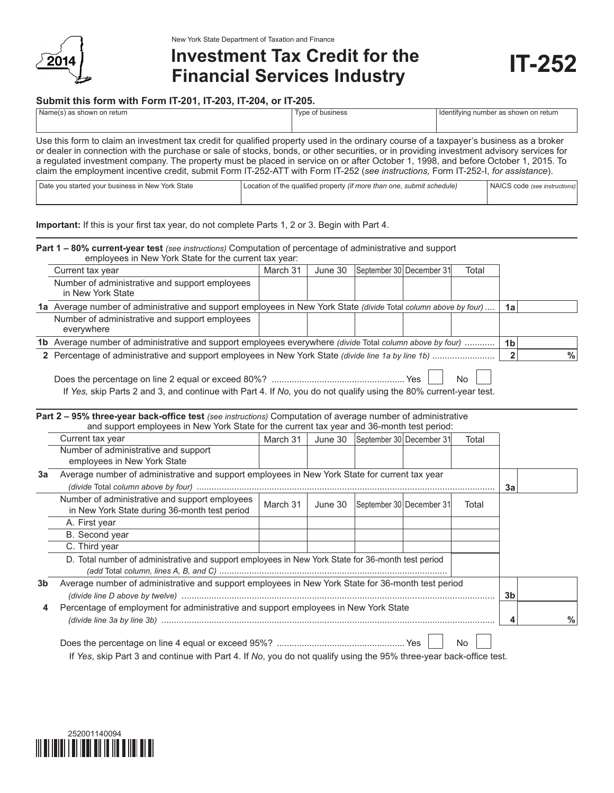

# **Investment Tax Credit for the Financial Services Industry IT-252**

## **Submit this form with Form IT-201, IT-203, IT-204, or IT-205.**

| Name(s) as shown on return                                                                                                                | Type of business | I Identifying number as shown on return |  |  |  |  |  |
|-------------------------------------------------------------------------------------------------------------------------------------------|------------------|-----------------------------------------|--|--|--|--|--|
|                                                                                                                                           |                  |                                         |  |  |  |  |  |
|                                                                                                                                           |                  |                                         |  |  |  |  |  |
| Use this form to claim an investment tax credit for qualified property used in the ordinary course of a taxpayer's business as a broker   |                  |                                         |  |  |  |  |  |
| or dealer in connection with the purchase or sale of stocks, bonds, or other securities, or in providing investment advisory services for |                  |                                         |  |  |  |  |  |
| a regulated investment company. The property must be placed in service on or after October 1, 1998, and before October 1, 2015. To        |                  |                                         |  |  |  |  |  |
| claim the employment incentive credit, submit Form IT-252-ATT with Form IT-252 (see instructions, Form IT-252-I, for assistance).         |                  |                                         |  |  |  |  |  |

| Date you started your business in New York State | Location of the qualified property <i>(if more than one, submit schedule)</i> | NAICS code (see instructions) |
|--------------------------------------------------|-------------------------------------------------------------------------------|-------------------------------|
|                                                  |                                                                               |                               |

**Important:** If this is your first tax year, do not complete Parts 1, 2 or 3. Begin with Part 4.

#### **Part 1 – 80% current-year test** *(see instructions)* Computation of percentage of administrative and support employees in New York State for the current tax year:

| Current tax year                                                                                                | March 31 | June 30 | September 30 December 31 |  | Total |    |  |   |
|-----------------------------------------------------------------------------------------------------------------|----------|---------|--------------------------|--|-------|----|--|---|
| Number of administrative and support employees<br>in New York State                                             |          |         |                          |  |       |    |  |   |
| 1a Average number of administrative and support employees in New York State (divide Total column above by four) |          |         |                          |  |       | 1a |  |   |
| Number of administrative and support employees<br>everywhere                                                    |          |         |                          |  |       |    |  |   |
| 1b Average number of administrative and support employees everywhere (divide Total column above by four)        |          |         |                          |  |       |    |  |   |
|                                                                                                                 |          |         |                          |  |       |    |  | % |
|                                                                                                                 |          |         |                          |  |       |    |  |   |

| If Yes, skip Parts 2 and 3, and continue with Part 4. If No, you do not qualify using the 80% current-year test. |  |  |
|------------------------------------------------------------------------------------------------------------------|--|--|

|    | <b>Part 2 – 95% three-year back-office test</b> (see instructions) Computation of average number of administrative<br>and support employees in New York State for the current tax year and 36-month test period: |          |         |                                     |  |       |    |               |
|----|------------------------------------------------------------------------------------------------------------------------------------------------------------------------------------------------------------------|----------|---------|-------------------------------------|--|-------|----|---------------|
|    | Current tax year                                                                                                                                                                                                 | March 31 |         | June 30  September 30   December 31 |  | Total |    |               |
|    | Number of administrative and support<br>employees in New York State                                                                                                                                              |          |         |                                     |  |       |    |               |
| За | Average number of administrative and support employees in New York State for current tax year                                                                                                                    |          |         |                                     |  |       |    |               |
|    |                                                                                                                                                                                                                  |          |         |                                     |  |       | За |               |
|    | Number of administrative and support employees<br>in New York State during 36-month test period                                                                                                                  | March 31 | June 30 | September 30 December 31            |  | Total |    |               |
|    | A. First year                                                                                                                                                                                                    |          |         |                                     |  |       |    |               |
|    | B. Second year                                                                                                                                                                                                   |          |         |                                     |  |       |    |               |
|    | C. Third year                                                                                                                                                                                                    |          |         |                                     |  |       |    |               |
|    | D. Total number of administrative and support employees in New York State for 36-month test period                                                                                                               |          |         |                                     |  |       |    |               |
| 3b | Average number of administrative and support employees in New York State for 36-month test period                                                                                                                |          |         |                                     |  |       |    |               |
| 4  | Percentage of employment for administrative and support employees in New York State                                                                                                                              |          |         |                                     |  |       |    | $\frac{0}{0}$ |
|    |                                                                                                                                                                                                                  |          |         |                                     |  | No    |    |               |

If *Yes*, skip Part 3 and continue with Part 4. If *No*, you do not qualify using the 95% three-year back-office test.

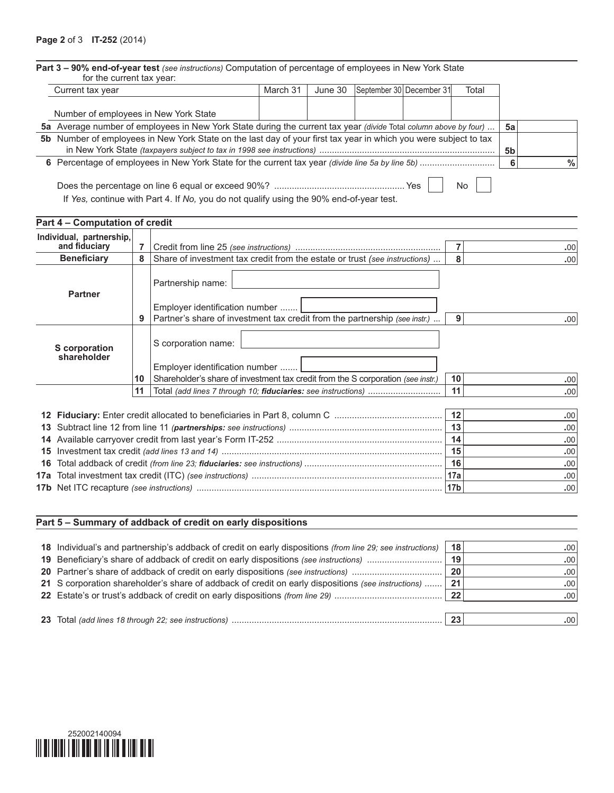| Current tax year                                                                                                 |    |                                                                                                                                           | March 31 | June 30 | September 30 December 31 |  | Total          |                |      |
|------------------------------------------------------------------------------------------------------------------|----|-------------------------------------------------------------------------------------------------------------------------------------------|----------|---------|--------------------------|--|----------------|----------------|------|
|                                                                                                                  |    |                                                                                                                                           |          |         |                          |  |                |                |      |
| Number of employees in New York State                                                                            |    |                                                                                                                                           |          |         |                          |  |                |                |      |
|                                                                                                                  |    | 5a Average number of employees in New York State during the current tax year (divide Total column above by four)                          |          |         |                          |  |                | 5a             |      |
| 5b Number of employees in New York State on the last day of your first tax year in which you were subject to tax |    |                                                                                                                                           |          |         |                          |  |                | 5 <sub>b</sub> |      |
|                                                                                                                  |    |                                                                                                                                           |          |         |                          |  |                | 6              | $\%$ |
| No.<br>If Yes, continue with Part 4. If No, you do not qualify using the 90% end-of-year test.                   |    |                                                                                                                                           |          |         |                          |  |                |                |      |
| Part 4 - Computation of credit                                                                                   |    |                                                                                                                                           |          |         |                          |  |                |                |      |
| Individual, partnership,<br>and fiduciary                                                                        | 7  |                                                                                                                                           |          |         |                          |  | $\overline{7}$ |                | .00  |
| <b>Beneficiary</b>                                                                                               | 8  | Share of investment tax credit from the estate or trust (see instructions)                                                                |          |         |                          |  | 8              |                | .00  |
| <b>Partner</b>                                                                                                   |    | Partnership name:<br>Employer identification number                                                                                       |          |         |                          |  |                |                | .00  |
|                                                                                                                  | 9  | Partner's share of investment tax credit from the partnership (see instr.)                                                                |          |         |                          |  | 9              |                |      |
| S corporation<br>shareholder                                                                                     | 10 | S corporation name:<br>Employer identification number<br>Shareholder's share of investment tax credit from the S corporation (see instr.) |          |         |                          |  | 10             |                | .00  |

|  |             | .00'             |
|--|-------------|------------------|
|  |             |                  |
|  |             | .00              |
|  | -15         | .00'             |
|  |             | .00'             |
|  | <b>∣17a</b> | .00'             |
|  |             | .00 <sub>1</sub> |

# **Part 5 – Summary of addback of credit on early dispositions**

| 18 Individual's and partnership's addback of credit on early dispositions (from line 29; see instructions) | 18   | .00'             |
|------------------------------------------------------------------------------------------------------------|------|------------------|
|                                                                                                            | 19   | .00 <sup>1</sup> |
|                                                                                                            | 20   | .00 <sub>1</sub> |
| 21 S corporation shareholder's share of addback of credit on early dispositions (see instructions)         | - 21 | .001             |
|                                                                                                            | -22  | .00 <sub>1</sub> |
|                                                                                                            | 23   |                  |